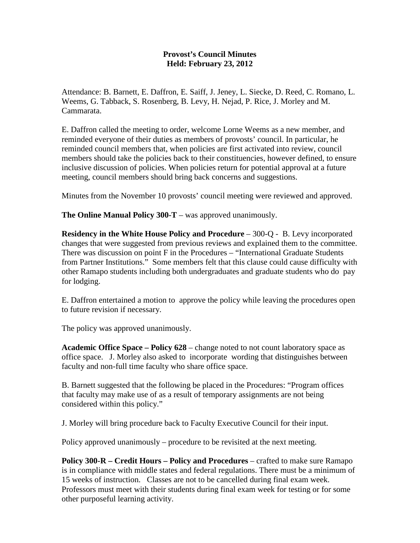## **Provost's Council Minutes Held: February 23, 2012**

Attendance: B. Barnett, E. Daffron, E. Saiff, J. Jeney, L. Siecke, D. Reed, C. Romano, L. Weems, G. Tabback, S. Rosenberg, B. Levy, H. Nejad, P. Rice, J. Morley and M. Cammarata.

E. Daffron called the meeting to order, welcome Lorne Weems as a new member, and reminded everyone of their duties as members of provosts' council. In particular, he reminded council members that, when policies are first activated into review, council members should take the policies back to their constituencies, however defined, to ensure inclusive discussion of policies. When policies return for potential approval at a future meeting, council members should bring back concerns and suggestions.

Minutes from the November 10 provosts' council meeting were reviewed and approved.

**The Online Manual Policy 300-T** – was approved unanimously.

**Residency in the White House Policy and Procedure** – 300-Q - B. Levy incorporated changes that were suggested from previous reviews and explained them to the committee. There was discussion on point F in the Procedures – "International Graduate Students from Partner Institutions." Some members felt that this clause could cause difficulty with other Ramapo students including both undergraduates and graduate students who do pay for lodging.

E. Daffron entertained a motion to approve the policy while leaving the procedures open to future revision if necessary.

The policy was approved unanimously.

**Academic Office Space – Policy 628** – change noted to not count laboratory space as office space. J. Morley also asked to incorporate wording that distinguishes between faculty and non-full time faculty who share office space.

B. Barnett suggested that the following be placed in the Procedures: "Program offices that faculty may make use of as a result of temporary assignments are not being considered within this policy."

J. Morley will bring procedure back to Faculty Executive Council for their input.

Policy approved unanimously – procedure to be revisited at the next meeting.

**Policy 300-R – Credit Hours – Policy and Procedures** – crafted to make sure Ramapo is in compliance with middle states and federal regulations. There must be a minimum of 15 weeks of instruction. Classes are not to be cancelled during final exam week. Professors must meet with their students during final exam week for testing or for some other purposeful learning activity.